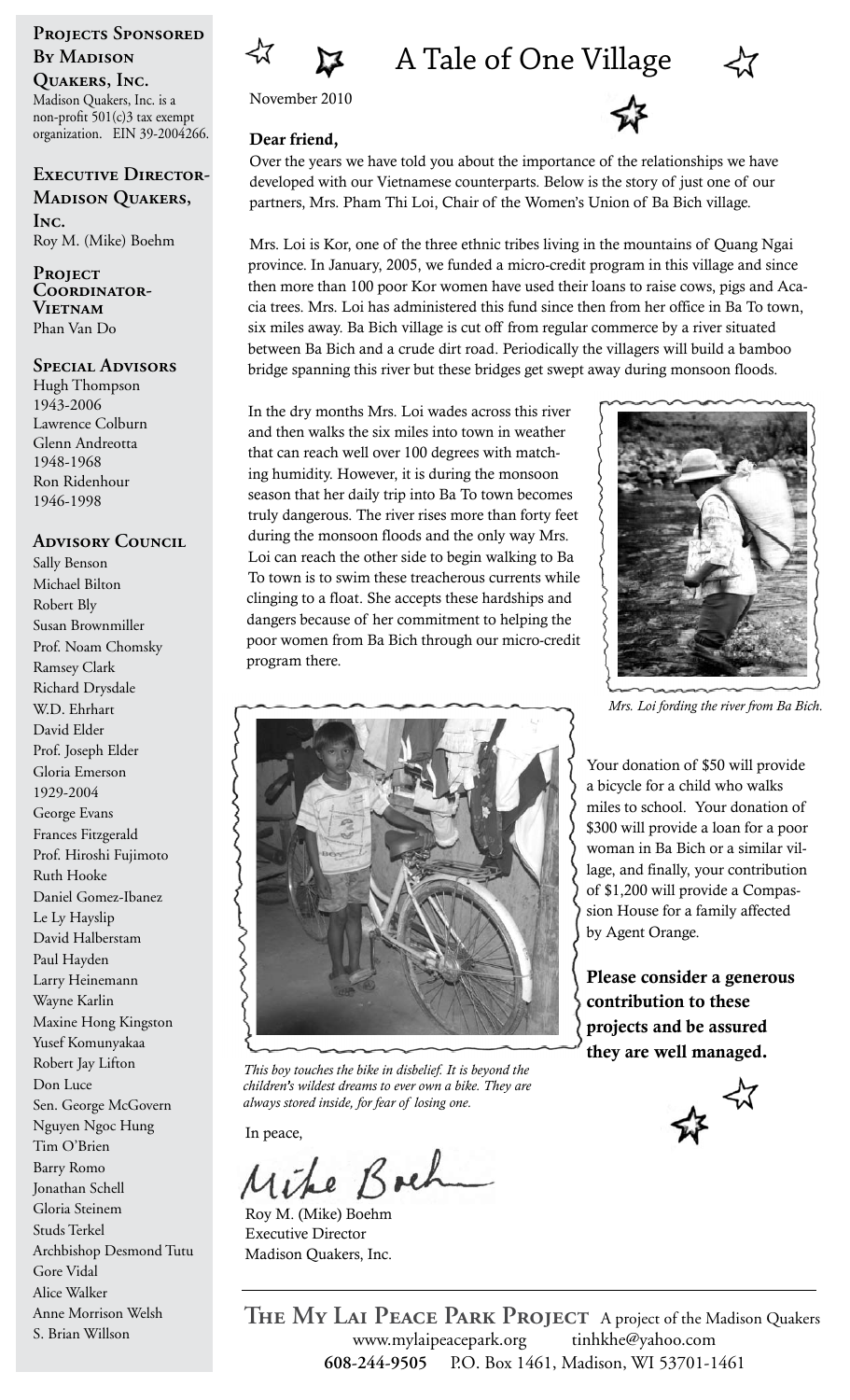# Projects Sponsored **By Madison**

**Quakers, Inc.** Madison Quakers, Inc. is a non-profit 501(c)3 tax exempt organization. EIN 39-2004266.

**Executive Director-Madison Quakers,** 

**Inc.**  Roy M. (Mike) Boehm

**Project Coordinator-Vietnam** Phan Van Do

#### **Special Advisors**

Hugh Thompson 1943-2006 Lawrence Colburn Glenn Andreotta 1948-1968 Ron Ridenhour 1946-1998

## **Advisory Council**

Sally Benson Michael Bilton Robert Bly Susan Brownmiller Prof. Noam Chomsky Ramsey Clark Richard Drysdale W.D. Ehrhart David Elder Prof. Joseph Elder Gloria Emerson 1929-2004 George Evans Frances Fitzgerald Prof. Hiroshi Fujimoto Ruth Hooke Daniel Gomez-Ibanez Le Ly Hayslip David Halberstam Paul Hayden Larry Heinemann Wayne Karlin Maxine Hong Kingston Yusef Komunyakaa Robert Jay Lifton Don Luce Sen. George McGovern Nguyen Ngoc Hung Tim O'Brien Barry Romo Jonathan Schell Gloria Steinem Studs Terkel Archbishop Desmond Tutu Gore Vidal Alice Walker Anne Morrison Welsh S. Brian Willson





November 2010

### Dear friend,



Over the years we have told you about the importance of the relationships we have developed with our Vietnamese counterparts. Below is the story of just one of our partners, Mrs. Pham Thi Loi, Chair of the Women's Union of Ba Bich village.

Mrs. Loi is Kor, one of the three ethnic tribes living in the mountains of Quang Ngai province. In January, 2005, we funded a micro-credit program in this village and since then more than 100 poor Kor women have used their loans to raise cows, pigs and Acacia trees. Mrs. Loi has administered this fund since then from her office in Ba To town, six miles away. Ba Bich village is cut off from regular commerce by a river situated between Ba Bich and a crude dirt road. Periodically the villagers will build a bamboo bridge spanning this river but these bridges get swept away during monsoon floods.

In the dry months Mrs. Loi wades across this river and then walks the six miles into town in weather that can reach well over 100 degrees with matching humidity. However, it is during the monsoon season that her daily trip into Ba To town becomes truly dangerous. The river rises more than forty feet during the monsoon floods and the only way Mrs. Loi can reach the other side to begin walking to Ba To town is to swim these treacherous currents while clinging to a float. She accepts these hardships and dangers because of her commitment to helping the poor women from Ba Bich through our micro-credit program there.



*Mrs. Loi fording the river from Ba Bich.*

Your donation of \$50 will provide a bicycle for a child who walks miles to school. Your donation of \$300 will provide a loan for a poor woman in Ba Bich or a similar village, and finally, your contribution of \$1,200 will provide a Compassion House for a family affected by Agent Orange.

Please consider a generous contribution to these projects and be assured they are well managed.





*This boy touches the bike in disbelief. It is beyond the children's wildest dreams to ever own a bike. They are always stored inside, for fear of losing one.*

In peace,

e Boch

Roy M. (Mike) Boehm Executive Director Madison Quakers, Inc.

**608-244-9505** P.O. Box 1461, Madison, WI 53701-1461 **The My Lai Peace Park Project** A project of the Madison Quakers www.mylaipeacepark.org tinhkhe@yahoo.com